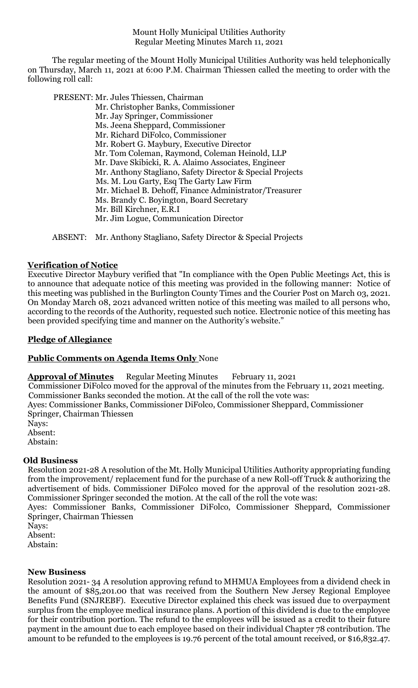Mount Holly Municipal Utilities Authority Regular Meeting Minutes March 11, 2021

The regular meeting of the Mount Holly Municipal Utilities Authority was held telephonically on Thursday, March 11, 2021 at 6:00 P.M. Chairman Thiessen called the meeting to order with the following roll call:

PRESENT: Mr. Jules Thiessen, Chairman

Mr. Christopher Banks, Commissioner Mr. Jay Springer, Commissioner Ms. Jeena Sheppard, Commissioner Mr. Richard DiFolco, Commissioner Mr. Robert G. Maybury, Executive Director Mr. Tom Coleman, Raymond, Coleman Heinold, LLP Mr. Dave Skibicki, R. A. Alaimo Associates, Engineer Mr. Anthony Stagliano, Safety Director & Special Projects Ms. M. Lou Garty, Esq The Garty Law Firm Mr. Michael B. Dehoff, Finance Administrator/Treasurer Ms. Brandy C. Boyington, Board Secretary Mr. Bill Kirchner, E.R.I Mr. Jim Logue, Communication Director

ABSENT: Mr. Anthony Stagliano, Safety Director & Special Projects

# **Verification of Notice**

Executive Director Maybury verified that "In compliance with the Open Public Meetings Act, this is to announce that adequate notice of this meeting was provided in the following manner: Notice of this meeting was published in the Burlington County Times and the Courier Post on March 03, 2021. On Monday March 08, 2021 advanced written notice of this meeting was mailed to all persons who, according to the records of the Authority, requested such notice. Electronic notice of this meeting has been provided specifying time and manner on the Authority's website."

### **Pledge of Allegiance**

# **Public Comments on Agenda Items Only** None

**Approval of Minutes** Regular Meeting Minutes February 11, 2021

Commissioner DiFolco moved for the approval of the minutes from the February 11, 2021 meeting.

Commissioner Banks seconded the motion. At the call of the roll the vote was:

Ayes: Commissioner Banks, Commissioner DiFolco, Commissioner Sheppard, Commissioner Springer, Chairman Thiessen

Nays: Absent:

Abstain:

#### **Old Business**

Resolution 2021-28 A resolution of the Mt. Holly Municipal Utilities Authority appropriating funding from the improvement/ replacement fund for the purchase of a new Roll-off Truck & authorizing the advertisement of bids. Commissioner DiFolco moved for the approval of the resolution 2021-28. Commissioner Springer seconded the motion. At the call of the roll the vote was:

Ayes: Commissioner Banks, Commissioner DiFolco, Commissioner Sheppard, Commissioner Springer, Chairman Thiessen

Nays: Absent:

Abstain:

### **New Business**

Resolution 2021- 34 A resolution approving refund to MHMUA Employees from a dividend check in the amount of \$85,201.00 that was received from the Southern New Jersey Regional Employee Benefits Fund (SNJREBF). Executive Director explained this check was issued due to overpayment surplus from the employee medical insurance plans. A portion of this dividend is due to the employee for their contribution portion. The refund to the employees will be issued as a credit to their future payment in the amount due to each employee based on their individual Chapter 78 contribution. The amount to be refunded to the employees is 19.76 percent of the total amount received, or \$16,832.47.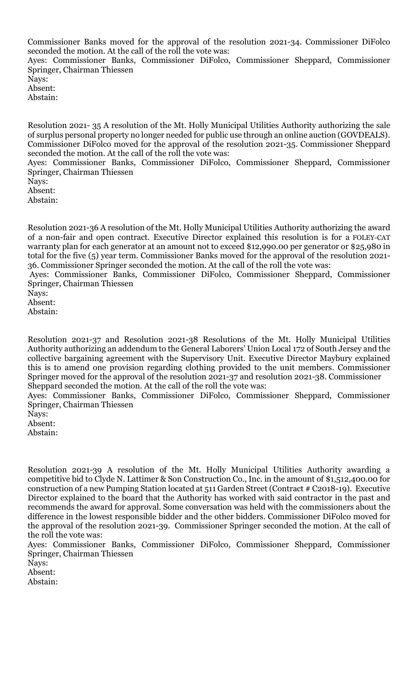Commissioner Banks moved for the approval of the resolution 2021-34. Commissioner DiFolco seconded the motion. At the call of the roll the vote was:

Ayes: Commissioner Banks, Commissioner DiFolco, Commissioner Sheppard, Commissioner Springer, Chairman Thiessen

Nays: Absent:

Abstain:

Resolution 2021- 35 A resolution of the Mt. Holly Municipal Utilities Authority authorizing the sale of surplus personal property no longer needed for public use through an online auction (GOVDEALS). Commissioner DiFolco moved for the approval of the resolution 2021-35. Commissioner Sheppard seconded the motion. At the call of the roll the vote was: Ayes: Commissioner Banks, Commissioner DiFolco, Commissioner Sheppard, Commissioner Springer, Chairman Thiessen

Nays:

Absent:

Abstain:

Resolution 2021-36 A resolution of the Mt. Holly Municipal Utilities Authority authorizing the award of a non-fair and open contract. Executive Director explained this resolution is for a FOLEY-CAT warranty plan for each generator at an amount not to exceed \$12,990.00 per generator or \$25,980 in total for the five (5) year term. Commissioner Banks moved for the approval of the resolution 2021- 36. Commissioner Springer seconded the motion. At the call of the roll the vote was:

Ayes: Commissioner Banks, Commissioner DiFolco, Commissioner Sheppard, Commissioner Springer, Chairman Thiessen

Nays:

Absent:

Abstain:

Resolution 2021-37 and Resolution 2021-38 Resolutions of the Mt. Holly Municipal Utilities Authority authorizing an addendum to the General Laborers' Union Local 172 of South Jersey and the collective bargaining agreement with the Supervisory Unit. Executive Director Maybury explained this is to amend one provision regarding clothing provided to the unit members. Commissioner Springer moved for the approval of the resolution 2021-37 and resolution 2021-38. Commissioner Sheppard seconded the motion. At the call of the roll the vote was:

Ayes: Commissioner Banks, Commissioner DiFolco, Commissioner Sheppard, Commissioner Springer, Chairman Thiessen

Nays: Absent:

Abstain:

Resolution 2021-39 A resolution of the Mt. Holly Municipal Utilities Authority awarding a competitive bid to Clyde N. Lattimer & Son Construction Co., Inc. in the amount of \$1,512,400.00 for construction of a new Pumping Station located at 511 Garden Street (Contract # C2018-19). Executive Director explained to the board that the Authority has worked with said contractor in the past and recommends the award for approval. Some conversation was held with the commissioners about the difference in the lowest responsible bidder and the other bidders. Commissioner DiFolco moved for the approval of the resolution 2021-39. Commissioner Springer seconded the motion. At the call of the roll the vote was:

Ayes: Commissioner Banks, Commissioner DiFolco, Commissioner Sheppard, Commissioner Springer, Chairman Thiessen

Nays:

Absent:

Abstain: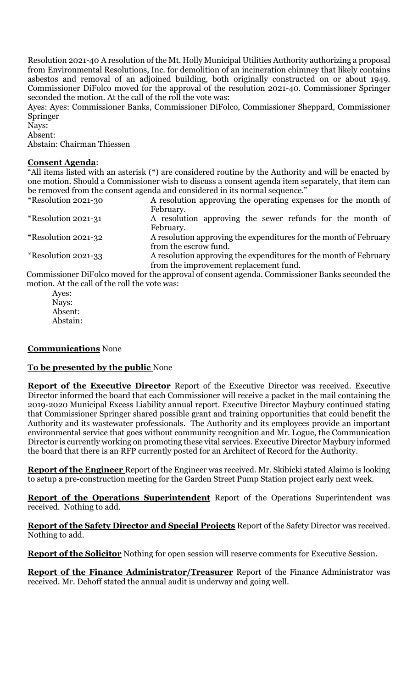Resolution 2021-40 A resolution of the Mt. Holly Municipal Utilities Authority authorizing a proposal from Environmental Resolutions, Inc. for demolition of an incineration chimney that likely contains asbestos and removal of an adjoined building, both originally constructed on or about 1949. Commissioner DiFolco moved for the approval of the resolution 2021-40. Commissioner Springer seconded the motion. At the call of the roll the vote was:

Ayes: Ayes: Commissioner Banks, Commissioner DiFolco, Commissioner Sheppard, Commissioner Springer

Nays:

Absent:

Abstain: Chairman Thiessen

### **Consent Agenda**:

"All items listed with an asterisk (\*) are considered routine by the Authority and will be enacted by one motion. Should a Commissioner wish to discuss a consent agenda item separately, that item can be removed from the consent agenda and considered in its normal sequence."

| *Resolution 2021-30 | A resolution approving the operating expenses for the month of                              |
|---------------------|---------------------------------------------------------------------------------------------|
|                     | February.                                                                                   |
| *Resolution 2021-31 | A resolution approving the sewer refunds for the month of                                   |
|                     | February.                                                                                   |
| *Resolution 2021-32 | A resolution approving the expenditures for the month of February                           |
|                     | from the escrow fund.                                                                       |
| *Resolution 2021-33 | A resolution approving the expenditures for the month of February                           |
|                     | from the improvement replacement fund.                                                      |
|                     | Compiazione DiEslee meurd fauthe envoyed of concent egende. Commissionen Deply seconded the |

Commissioner DiFolco moved for the approval of consent agenda. Commissioner Banks seconded the motion. At the call of the roll the vote was:

Ayes: Nays: Absent: Abstain:

# **Communications** None

#### **To be presented by the public** None

**Report of the Executive Director** Report of the Executive Director was received. Executive Director informed the board that each Commissioner will receive a packet in the mail containing the 2019-2020 Municipal Excess Liability annual report. Executive Director Maybury continued stating that Commissioner Springer shared possible grant and training opportunities that could benefit the Authority and its wastewater professionals. The Authority and its employees provide an important environmental service that goes without community recognition and Mr. Logue, the Communication Director is currently working on promoting these vital services. Executive Director Maybury informed the board that there is an RFP currently posted for an Architect of Record for the Authority.

**Report of the Engineer** Report of the Engineer was received. Mr. Skibicki stated Alaimo is looking to setup a pre-construction meeting for the Garden Street Pump Station project early next week.

**Report of the Operations Superintendent** Report of the Operations Superintendent was received. Nothing to add.

**Report of the Safety Director and Special Projects** Report of the Safety Director was received. Nothing to add.

**Report of the Solicitor** Nothing for open session will reserve comments for Executive Session.

**Report of the Finance Administrator/Treasurer** Report of the Finance Administrator was received. Mr. Dehoff stated the annual audit is underway and going well.